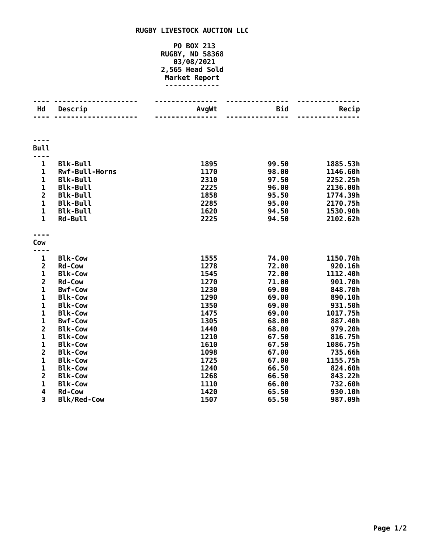## **RUGBY LIVESTOCK AUCTION LLC**

## **PO BOX 213 RUGBY, ND 58368 03/08/2021 2,565 Head Sold Market Report -------------**

| Hd                      | Descrip               | AvgWt | <b>Bid</b> | Recip    |
|-------------------------|-----------------------|-------|------------|----------|
|                         |                       |       |            |          |
|                         |                       |       |            |          |
|                         |                       |       |            |          |
| <b>Bull</b>             |                       |       |            |          |
|                         |                       |       |            |          |
| $\mathbf{1}$            | <b>Blk-Bull</b>       | 1895  | 99.50      | 1885.53h |
| $\mathbf{1}$            | <b>Rwf-Bull-Horns</b> | 1170  | 98.00      | 1146.60h |
| $\mathbf{1}$            | <b>Blk-Bull</b>       | 2310  | 97.50      | 2252.25h |
| $\mathbf{1}$            | <b>Blk-Bull</b>       | 2225  | 96.00      | 2136.00h |
| $\overline{\mathbf{2}}$ | <b>Blk-Bull</b>       | 1858  | 95.50      | 1774.39h |
| $\mathbf{1}$            | <b>Blk-Bull</b>       | 2285  | 95.00      | 2170.75h |
| $\mathbf{1}$            | <b>Blk-Bull</b>       | 1620  | 94.50      | 1530.90h |
| $\mathbf{1}$            | <b>Rd-Bull</b>        | 2225  | 94.50      | 2102.62h |
|                         |                       |       |            |          |
| Cow                     |                       |       |            |          |
|                         |                       |       |            |          |
| $\mathbf 1$             | <b>Blk-Cow</b>        | 1555  | 74.00      | 1150.70h |
| $\overline{\mathbf{2}}$ | <b>Rd-Cow</b>         | 1278  | 72.00      | 920.16h  |
| $\mathbf 1$             | <b>Blk-Cow</b>        | 1545  | 72.00      | 1112.40h |
| $\overline{\mathbf{2}}$ | <b>Rd-Cow</b>         | 1270  | 71.00      | 901.70h  |
| $\overline{1}$          | <b>Bwf-Cow</b>        | 1230  | 69.00      | 848.70h  |
| $\mathbf{1}$            | <b>Blk-Cow</b>        | 1290  | 69.00      | 890.10h  |
| $\mathbf{1}$            | <b>Blk-Cow</b>        | 1350  | 69.00      | 931.50h  |
| 1                       | <b>Blk-Cow</b>        | 1475  | 69.00      | 1017.75h |
| $\mathbf{1}$            | <b>Bwf-Cow</b>        | 1305  | 68.00      | 887.40h  |
| $\overline{\mathbf{c}}$ | <b>Blk-Cow</b>        | 1440  | 68.00      | 979.20h  |
| $\mathbf{1}$            | <b>Blk-Cow</b>        | 1210  | 67.50      | 816.75h  |
| 1                       | <b>Blk-Cow</b>        | 1610  | 67.50      | 1086.75h |
| $\overline{2}$          | <b>Blk-Cow</b>        | 1098  | 67.00      | 735.66h  |
| $\mathbf{1}$            | <b>Blk-Cow</b>        | 1725  | 67.00      | 1155.75h |
| $\mathbf{1}$            | <b>Blk-Cow</b>        | 1240  | 66.50      | 824.60h  |
| $\overline{2}$          | <b>Blk-Cow</b>        | 1268  | 66.50      | 843.22h  |
| $\mathbf{1}$            | <b>Blk-Cow</b>        | 1110  | 66.00      | 732.60h  |
| 4                       | <b>Rd-Cow</b>         | 1420  | 65.50      | 930.10h  |
| 3                       | <b>Blk/Red-Cow</b>    | 1507  | 65.50      | 987.09h  |